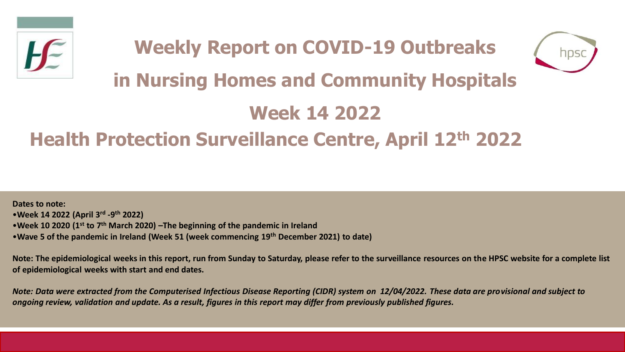



# **in Nursing Homes and Community Hospitals**

## **Week 14 2022**

## **Health Protection Surveillance Centre, April 12th 2022**

**Dates to note:** •**Week 14 2022 (April 3rd -9 th 2022)** •**Week 10 2020 (1st to 7th March 2020) –The beginning of the pandemic in Ireland**  •**Wave 5 of the pandemic in Ireland (Week 51 (week commencing 19th December 2021) to date)**

**Note: The epidemiological weeks in this report, run from Sunday to Saturday, please refer to the surveillance resources on the HPSC website for a complete list of epidemiological weeks with start and end dates.**

*Note: Data were extracted from the Computerised Infectious Disease Reporting (CIDR) system on 12/04/2022. These data are provisional and subject to ongoing review, validation and update. As a result, figures in this report may differ from previously published figures.*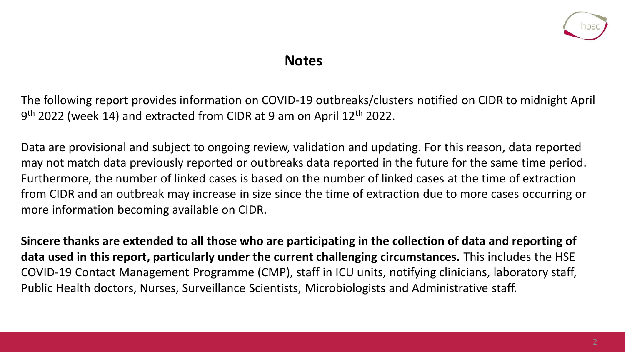

#### **Notes**

The following report provides information on COVID-19 outbreaks/clusters notified on CIDR to midnight April 9<sup>th</sup> 2022 (week 14) and extracted from CIDR at 9 am on April 12<sup>th</sup> 2022.

Data are provisional and subject to ongoing review, validation and updating. For this reason, data reported may not match data previously reported or outbreaks data reported in the future for the same time period. Furthermore, the number of linked cases is based on the number of linked cases at the time of extraction from CIDR and an outbreak may increase in size since the time of extraction due to more cases occurring or more information becoming available on CIDR.

**Sincere thanks are extended to all those who are participating in the collection of data and reporting of data used in this report, particularly under the current challenging circumstances.** This includes the HSE COVID-19 Contact Management Programme (CMP), staff in ICU units, notifying clinicians, laboratory staff, Public Health doctors, Nurses, Surveillance Scientists, Microbiologists and Administrative staff.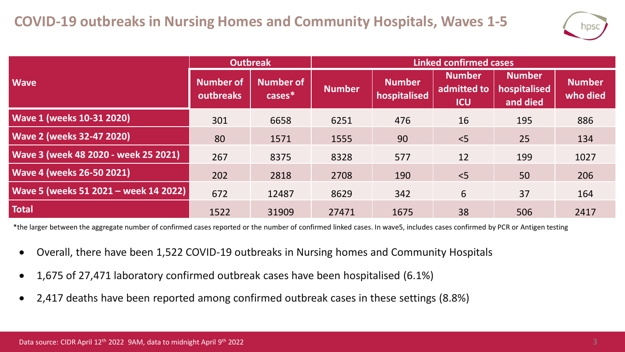

|                                       | <b>Outbreak</b>               |                               | <b>Linked confirmed cases</b> |                               |                                            |                                           |                           |  |
|---------------------------------------|-------------------------------|-------------------------------|-------------------------------|-------------------------------|--------------------------------------------|-------------------------------------------|---------------------------|--|
| <b>Wave</b>                           | <b>Number of</b><br>outbreaks | <b>Number of</b><br>$cases^*$ | <b>Number</b>                 | <b>Number</b><br>hospitalised | <b>Number</b><br>admitted to<br><b>ICU</b> | <b>Number</b><br>hospitalised<br>and died | <b>Number</b><br>who died |  |
| <b>Wave 1 (weeks 10-31 2020)</b>      | 301                           | 6658                          | 6251                          | 476                           | 16                                         | 195                                       | 886                       |  |
| <b>Wave 2 (weeks 32-47 2020)</b>      | 80                            | 1571                          | 1555                          | 90                            | < 5                                        | 25                                        | 134                       |  |
| Wave 3 (week 48 2020 - week 25 2021)  | 267                           | 8375                          | 8328                          | 577                           | 12                                         | 199                                       | 1027                      |  |
| <b>Wave 4 (weeks 26-50 2021)</b>      | 202                           | 2818                          | 2708                          | 190                           | < 5                                        | 50                                        | 206                       |  |
| Wave 5 (weeks 51 2021 - week 14 2022) | 672                           | 12487                         | 8629                          | 342                           | 6                                          | 37                                        | 164                       |  |
| <b>Total</b>                          | 1522                          | 31909                         | 27471                         | 1675                          | 38                                         | 506                                       | 2417                      |  |

\*the larger between the aggregate number of confirmed cases reported or the number of confirmed linked cases. In wave5, includes cases confirmed by PCR or Antigen testing

- Overall, there have been 1,522 COVID-19 outbreaks in Nursing homes and Community Hospitals
- 1,675 of 27,471 laboratory confirmed outbreak cases have been hospitalised (6.1%)
- 2,417 deaths have been reported among confirmed outbreak cases in these settings (8.8%)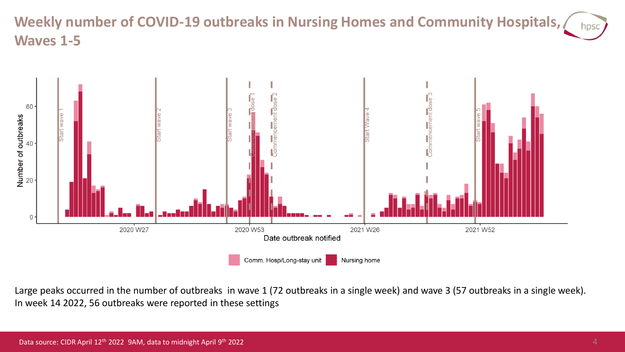#### **Weekly number of COVID-19 outbreaks in Nursing Homes and Community Hospitals,**  hpsc **Waves 1-5**



Large peaks occurred in the number of outbreaks in wave 1 (72 outbreaks in a single week) and wave 3 (57 outbreaks in a single week). In week 14 2022, 56 outbreaks were reported in these settings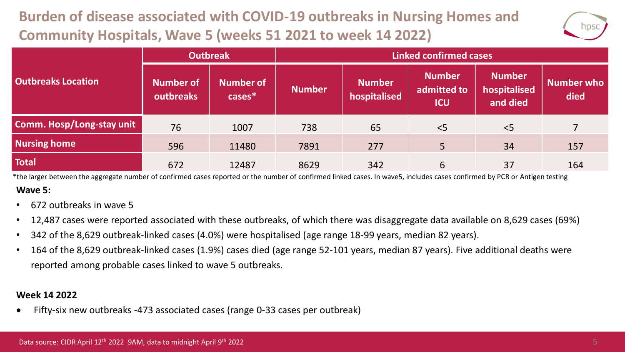## **Burden of disease associated with COVID-19 outbreaks in Nursing Homes and Community Hospitals, Wave 5 (weeks 51 2021 to week 14 2022)**



|                           | <b>Outbreak</b>               |                               | <b>Linked confirmed cases</b> |                               |                                            |                                           |                           |  |
|---------------------------|-------------------------------|-------------------------------|-------------------------------|-------------------------------|--------------------------------------------|-------------------------------------------|---------------------------|--|
| <b>Outbreaks Location</b> | <b>Number of</b><br>outbreaks | <b>Number of</b><br>$cases^*$ | <b>Number</b>                 | <b>Number</b><br>hospitalised | <b>Number</b><br>admitted to<br><b>ICU</b> | <b>Number</b><br>hospitalised<br>and died | <b>Number who</b><br>died |  |
| Comm. Hosp/Long-stay unit | 76                            | 1007                          | 738                           | 65                            | $<$ 5                                      | < 5                                       |                           |  |
| <b>Nursing home</b>       | 596                           | 11480                         | 7891                          | 277                           | 5                                          | 34                                        | 157                       |  |
| <b>Total</b>              | 672                           | 12487                         | 8629                          | 342                           | 6                                          | 37                                        | 164                       |  |

**Wave 5:** \*the larger between the aggregate number of confirmed cases reported or the number of confirmed linked cases. In wave5, includes cases confirmed by PCR or Antigen testing

- 672 outbreaks in wave 5
- 12,487 cases were reported associated with these outbreaks, of which there was disaggregate data available on 8,629 cases (69%)
- 342 of the 8,629 outbreak-linked cases (4.0%) were hospitalised (age range 18-99 years, median 82 years).
- 164 of the 8,629 outbreak-linked cases (1.9%) cases died (age range 52-101 years, median 87 years). Five additional deaths were reported among probable cases linked to wave 5 outbreaks.

#### **Week 14 2022**

• Fifty-six new outbreaks -473 associated cases (range 0-33 cases per outbreak)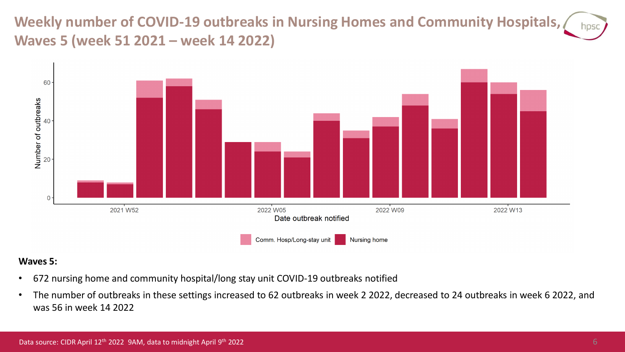**Weekly number of COVID-19 outbreaks in Nursing Homes and Community Hospitals,**  hosc **Waves 5 (week 51 2021 – week 14 2022)**



#### **Waves 5:**

- 672 nursing home and community hospital/long stay unit COVID-19 outbreaks notified
- The number of outbreaks in these settings increased to 62 outbreaks in week 2 2022, decreased to 24 outbreaks in week 6 2022, and was 56 in week 14 2022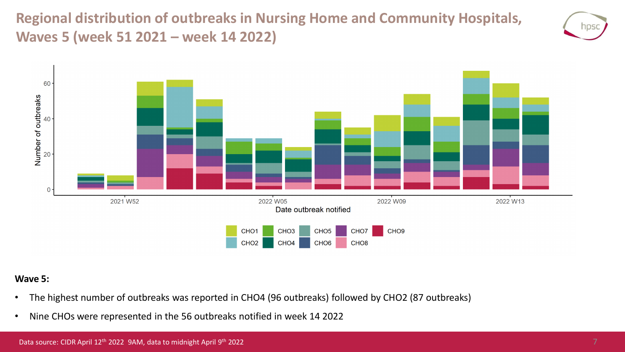**Regional distribution of outbreaks in Nursing Home and Community Hospitals, Waves 5 (week 51 2021 – week 14 2022)**





#### **Wave 5:**

- The highest number of outbreaks was reported in CHO4 (96 outbreaks) followed by CHO2 (87 outbreaks)
- Nine CHOs were represented in the 56 outbreaks notified in week 14 2022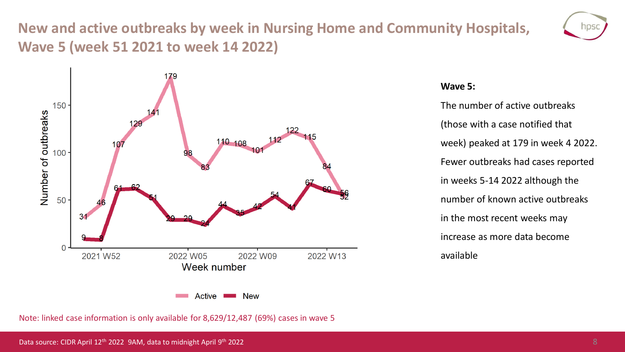### **New and active outbreaks by week in Nursing Home and Community Hospitals, Wave 5 (week 51 2021 to week 14 2022)**





#### **Wave 5:**

The number of active outbreaks (those with a case notified that week) peaked at 179 in week 4 2022. Fewer outbreaks had cases reported in weeks 5-14 2022 although the number of known active outbreaks in the most recent weeks may increase as more data become available

Note: linked case information is only available for 8,629/12,487 (69%) cases in wave 5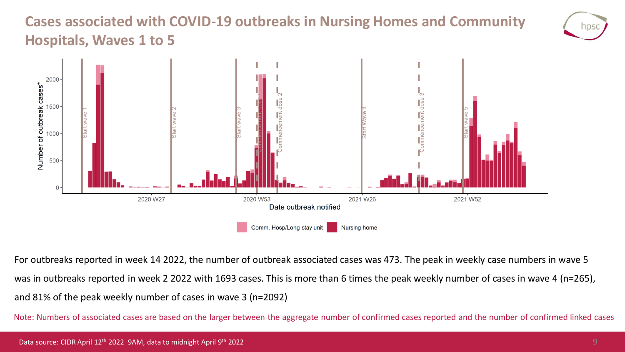### **Cases associated with COVID-19 outbreaks in Nursing Homes and Community Hospitals, Waves 1 to 5**





For outbreaks reported in week 14 2022, the number of outbreak associated cases was 473. The peak in weekly case numbers in wave 5 was in outbreaks reported in week 2 2022 with 1693 cases. This is more than 6 times the peak weekly number of cases in wave 4 (n=265), and 81% of the peak weekly number of cases in wave 3 (n=2092)

Note: Numbers of associated cases are based on the larger between the aggregate number of confirmed cases reported and the number of confirmed linked cases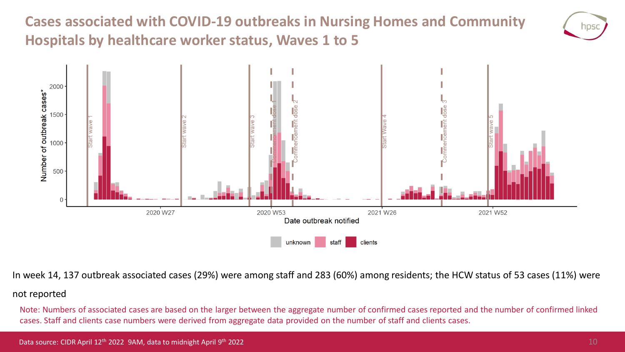**Cases associated with COVID-19 outbreaks in Nursing Homes and Community Hospitals by healthcare worker status, Waves 1 to 5**





In week 14, 137 outbreak associated cases (29%) were among staff and 283 (60%) among residents; the HCW status of 53 cases (11%) were

#### not reported

Note: Numbers of associated cases are based on the larger between the aggregate number of confirmed cases reported and the number of confirmed linked cases. Staff and clients case numbers were derived from aggregate data provided on the number of staff and clients cases.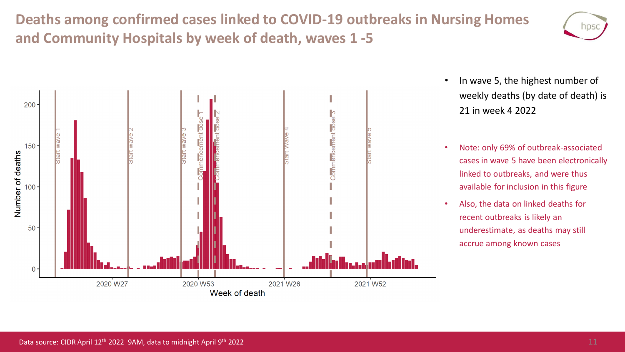**Deaths among confirmed cases linked to COVID-19 outbreaks in Nursing Homes and Community Hospitals by week of death, waves 1 -5**





- In wave 5, the highest number of weekly deaths (by date of death) is 21 in week 4 2022
- Note: only 69% of outbreak-associated cases in wave 5 have been electronically linked to outbreaks, and were thus available for inclusion in this figure
- Also, the data on linked deaths for recent outbreaks is likely an underestimate, as deaths may still accrue among known cases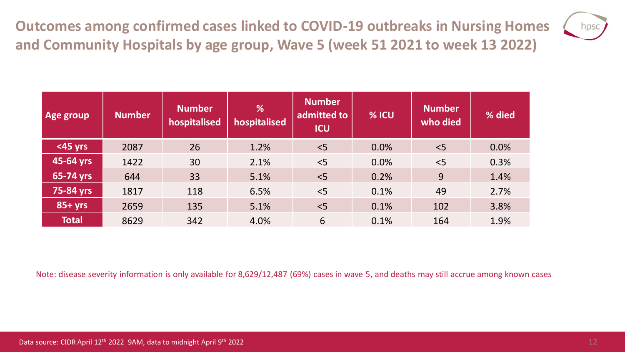**Outcomes among confirmed cases linked to COVID-19 outbreaks in Nursing Homes and Community Hospitals by age group, Wave 5 (week 51 2021 to week 13 2022)**



| Age group    | <b>Number</b> | <b>Number</b><br>hospitalised | %<br>hospitalised | <b>Number</b><br>admitted to<br><b>ICU</b> | % ICU | <b>Number</b><br>who died | % died |
|--------------|---------------|-------------------------------|-------------------|--------------------------------------------|-------|---------------------------|--------|
| <45 yrs      | 2087          | 26                            | 1.2%              | < 5                                        | 0.0%  | $<$ 5                     | 0.0%   |
| 45-64 yrs    | 1422          | 30                            | 2.1%              | < 5                                        | 0.0%  | < 5                       | 0.3%   |
| 65-74 yrs    | 644           | 33                            | 5.1%              | < 5                                        | 0.2%  | 9                         | 1.4%   |
| 75-84 yrs    | 1817          | 118                           | 6.5%              | < 5                                        | 0.1%  | 49                        | 2.7%   |
| $85+yrs$     | 2659          | 135                           | 5.1%              | < 5                                        | 0.1%  | 102                       | 3.8%   |
| <b>Total</b> | 8629          | 342                           | 4.0%              | 6                                          | 0.1%  | 164                       | 1.9%   |

Note: disease severity information is only available for 8,629/12,487 (69%) cases in wave 5, and deaths may still accrue among known cases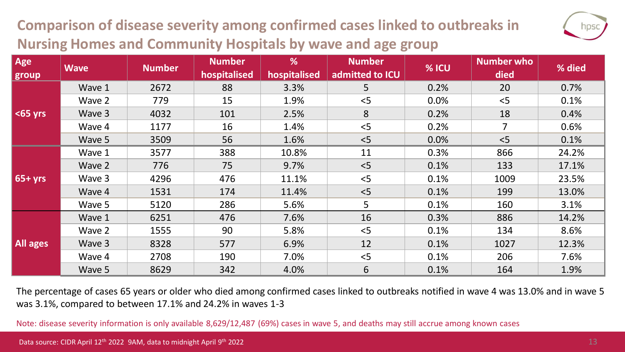### **Comparison of disease severity among confirmed cases linked to outbreaks in Nursing Homes and Community Hospitals by wave and age group**



The percentage of cases 65 years or older who died among confirmed cases linked to outbreaks notified in wave 4 was 13.0% and in wave 5 was 3.1%, compared to between 17.1% and 24.2% in waves 1-3

Note: disease severity information is only available 8,629/12,487 (69%) cases in wave 5, and deaths may still accrue among known cases

hpso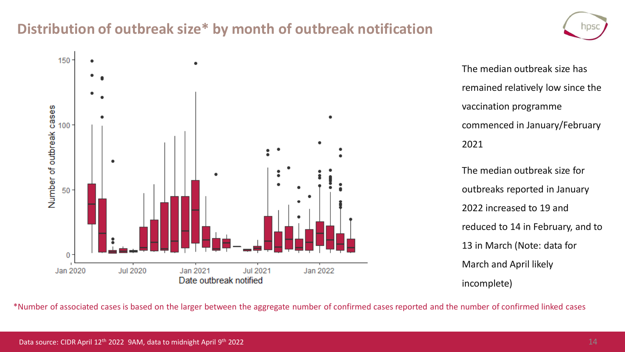### **Distribution of outbreak size\* by month of outbreak notification**



The median outbreak size has remained relatively low since the vaccination programme commenced in January/February 2021

The median outbreak size for outbreaks reported in January 2022 increased to 19 and reduced to 14 in February, and to 13 in March (Note: data for March and April likely incomplete)

\*Number of associated cases is based on the larger between the aggregate number of confirmed cases reported and the number of confirmed linked cases

NDS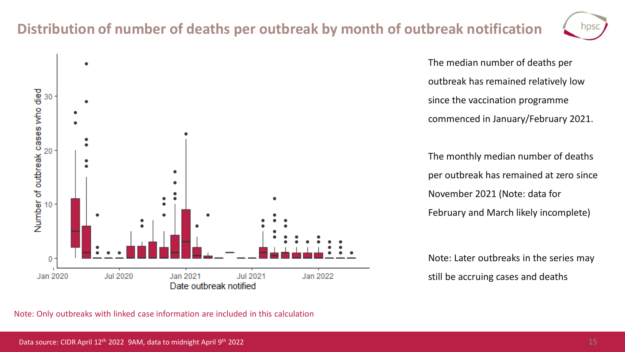### **Distribution of number of deaths per outbreak by month of outbreak notification**



**Jul 2020** Jan 2021 **Jul 2021** Jan 2022

The median number of deaths per outbreak has remained relatively low since the vaccination programme commenced in January/February 2021.

The monthly median number of deaths per outbreak has remained at zero since November 2021 (Note: data for February and March likely incomplete)

Note: Later outbreaks in the series may still be accruing cases and deaths

Note: Only outbreaks with linked case information are included in this calculation

Date outbreak notified

Number of outbreak cases who died<br>a<br>a<br>a<br>a

0

Jan 2020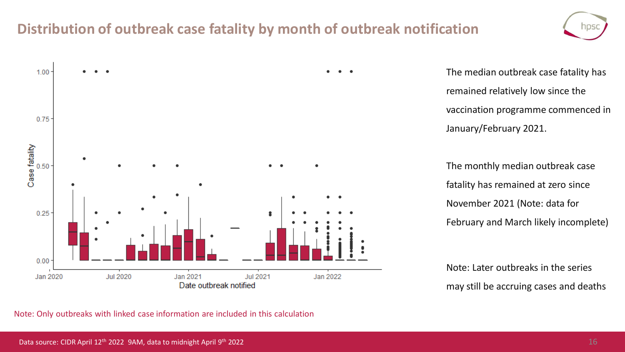### **Distribution of outbreak case fatality by month of outbreak notification**





The median outbreak case fatality has remained relatively low since the vaccination programme commenced in January/February 2021.

The monthly median outbreak case fatality has remained at zero since November 2021 (Note: data for February and March likely incomplete)

Note: Later outbreaks in the series may still be accruing cases and deaths

Note: Only outbreaks with linked case information are included in this calculation